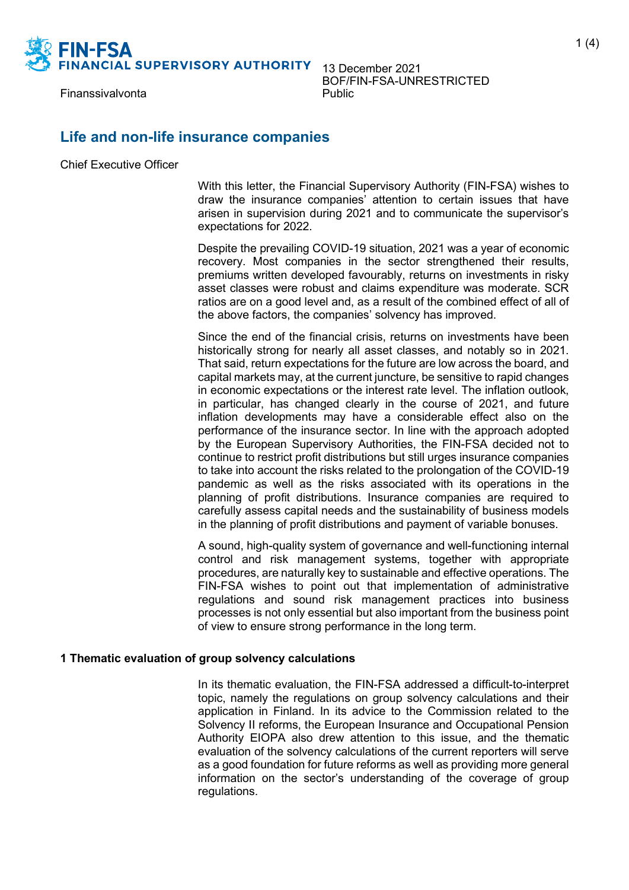

13 December 2021 BOF/FIN-FSA-UNRESTRICTED<br>Public

### **Life and non-life insurance companies**

Chief Executive Officer

With this letter, the Financial Supervisory Authority (FIN-FSA) wishes to draw the insurance companies' attention to certain issues that have arisen in supervision during 2021 and to communicate the supervisor's expectations for 2022.

Despite the prevailing COVID-19 situation, 2021 was a year of economic recovery. Most companies in the sector strengthened their results, premiums written developed favourably, returns on investments in risky asset classes were robust and claims expenditure was moderate. SCR ratios are on a good level and, as a result of the combined effect of all of the above factors, the companies' solvency has improved.

Since the end of the financial crisis, returns on investments have been historically strong for nearly all asset classes, and notably so in 2021. That said, return expectations for the future are low across the board, and capital markets may, at the current juncture, be sensitive to rapid changes in economic expectations or the interest rate level. The inflation outlook, in particular, has changed clearly in the course of 2021, and future inflation developments may have a considerable effect also on the performance of the insurance sector. In line with the approach adopted by the European Supervisory Authorities, the FIN-FSA decided not to continue to restrict profit distributions but still urges insurance companies to take into account the risks related to the prolongation of the COVID-19 pandemic as well as the risks associated with its operations in the planning of profit distributions. Insurance companies are required to carefully assess capital needs and the sustainability of business models in the planning of profit distributions and payment of variable bonuses.

A sound, high-quality system of governance and well-functioning internal control and risk management systems, together with appropriate procedures, are naturally key to sustainable and effective operations. The FIN-FSA wishes to point out that implementation of administrative regulations and sound risk management practices into business processes is not only essential but also important from the business point of view to ensure strong performance in the long term.

### **1 Thematic evaluation of group solvency calculations**

In its thematic evaluation, the FIN-FSA addressed a difficult-to-interpret topic, namely the regulations on group solvency calculations and their application in Finland. In its advice to the Commission related to the Solvency II reforms, the European Insurance and Occupational Pension Authority EIOPA also drew attention to this issue, and the thematic evaluation of the solvency calculations of the current reporters will serve as a good foundation for future reforms as well as providing more general information on the sector's understanding of the coverage of group regulations.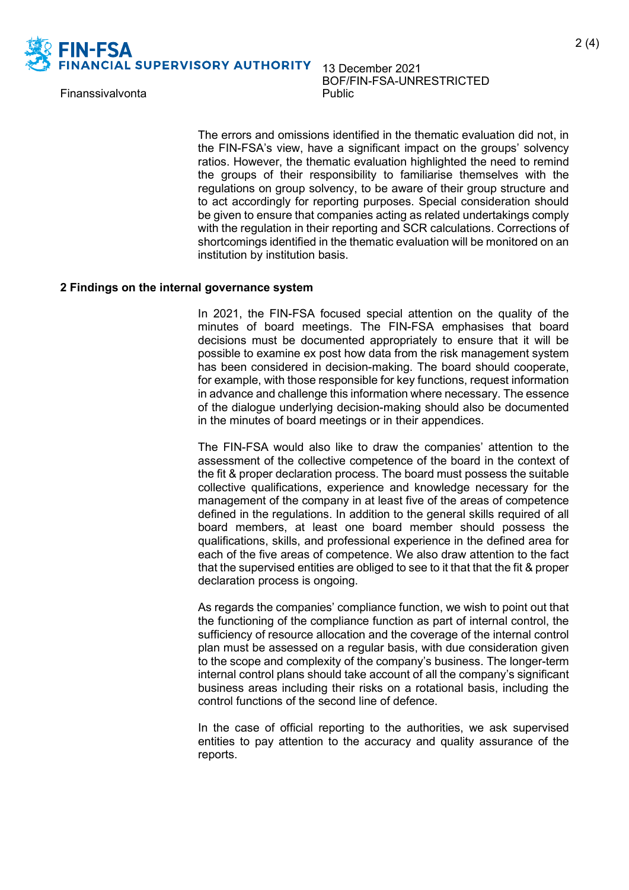

# 13 December 2021 BOF/FIN-FSA-UNRESTRICTED<br>Public

The errors and omissions identified in the thematic evaluation did not, in the FIN-FSA's view, have a significant impact on the groups' solvency ratios. However, the thematic evaluation highlighted the need to remind the groups of their responsibility to familiarise themselves with the regulations on group solvency, to be aware of their group structure and to act accordingly for reporting purposes. Special consideration should be given to ensure that companies acting as related undertakings comply with the regulation in their reporting and SCR calculations. Corrections of shortcomings identified in the thematic evaluation will be monitored on an institution by institution basis.

#### **2 Findings on the internal governance system**

In 2021, the FIN-FSA focused special attention on the quality of the minutes of board meetings. The FIN-FSA emphasises that board decisions must be documented appropriately to ensure that it will be possible to examine ex post how data from the risk management system has been considered in decision-making. The board should cooperate, for example, with those responsible for key functions, request information in advance and challenge this information where necessary. The essence of the dialogue underlying decision-making should also be documented in the minutes of board meetings or in their appendices.

The FIN-FSA would also like to draw the companies' attention to the assessment of the collective competence of the board in the context of the fit & proper declaration process. The board must possess the suitable collective qualifications, experience and knowledge necessary for the management of the company in at least five of the areas of competence defined in the regulations. In addition to the general skills required of all board members, at least one board member should possess the qualifications, skills, and professional experience in the defined area for each of the five areas of competence. We also draw attention to the fact that the supervised entities are obliged to see to it that that the fit & proper declaration process is ongoing.

As regards the companies' compliance function, we wish to point out that the functioning of the compliance function as part of internal control, the sufficiency of resource allocation and the coverage of the internal control plan must be assessed on a regular basis, with due consideration given to the scope and complexity of the company's business. The longer-term internal control plans should take account of all the company's significant business areas including their risks on a rotational basis, including the control functions of the second line of defence.

In the case of official reporting to the authorities, we ask supervised entities to pay attention to the accuracy and quality assurance of the reports.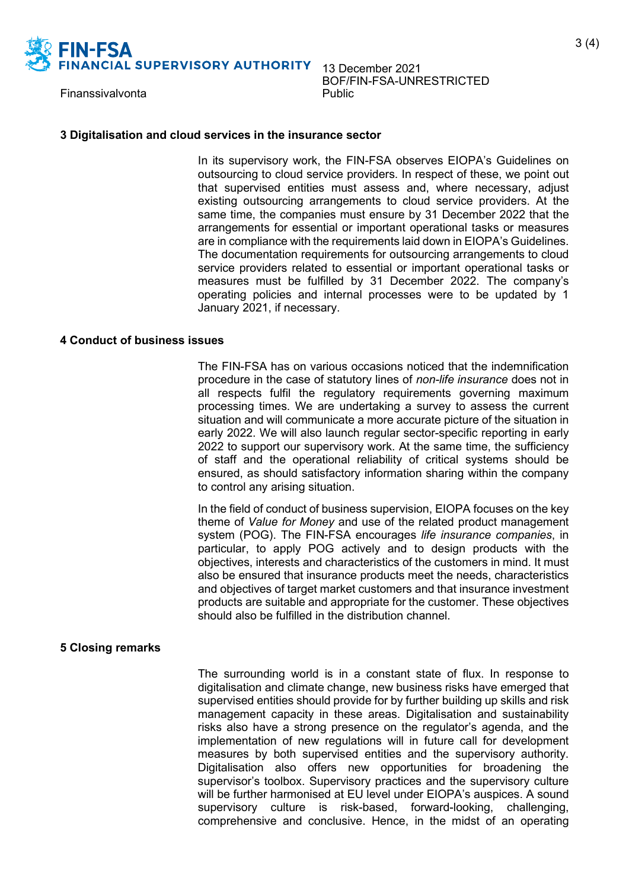

# 13 December 2021 BOF/FIN-FSA-UNRESTRICTED<br>Public

#### **3 Digitalisation and cloud services in the insurance sector**

In its supervisory work, the FIN-FSA observes EIOPA's Guidelines on outsourcing to cloud service providers. In respect of these, we point out that supervised entities must assess and, where necessary, adjust existing outsourcing arrangements to cloud service providers. At the same time, the companies must ensure by 31 December 2022 that the arrangements for essential or important operational tasks or measures are in compliance with the requirements laid down in EIOPA's Guidelines. The documentation requirements for outsourcing arrangements to cloud service providers related to essential or important operational tasks or measures must be fulfilled by 31 December 2022. The company's operating policies and internal processes were to be updated by 1 January 2021, if necessary.

#### **4 Conduct of business issues**

The FIN-FSA has on various occasions noticed that the indemnification procedure in the case of statutory lines of *non-life insurance* does not in all respects fulfil the regulatory requirements governing maximum processing times. We are undertaking a survey to assess the current situation and will communicate a more accurate picture of the situation in early 2022. We will also launch regular sector-specific reporting in early 2022 to support our supervisory work. At the same time, the sufficiency of staff and the operational reliability of critical systems should be ensured, as should satisfactory information sharing within the company to control any arising situation.

In the field of conduct of business supervision, EIOPA focuses on the key theme of *Value for Money* and use of the related product management system (POG). The FIN-FSA encourages *life insurance companies*, in particular, to apply POG actively and to design products with the objectives, interests and characteristics of the customers in mind. It must also be ensured that insurance products meet the needs, characteristics and objectives of target market customers and that insurance investment products are suitable and appropriate for the customer. These objectives should also be fulfilled in the distribution channel.

### **5 Closing remarks**

The surrounding world is in a constant state of flux. In response to digitalisation and climate change, new business risks have emerged that supervised entities should provide for by further building up skills and risk management capacity in these areas. Digitalisation and sustainability risks also have a strong presence on the regulator's agenda, and the implementation of new regulations will in future call for development measures by both supervised entities and the supervisory authority. Digitalisation also offers new opportunities for broadening the supervisor's toolbox. Supervisory practices and the supervisory culture will be further harmonised at EU level under EIOPA's auspices. A sound supervisory culture is risk-based, forward-looking, challenging, comprehensive and conclusive. Hence, in the midst of an operating